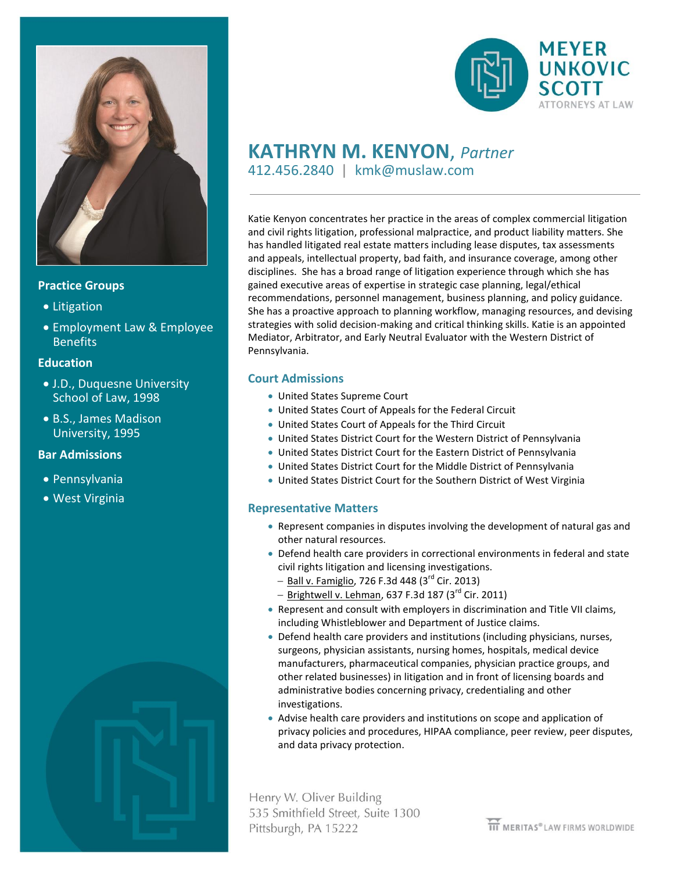

### **Practice Groups**

- Litigation
- Employment Law & Employee **Benefits**

### **Education**

- J.D., Duquesne University School of Law, 1998
- B.S., James Madison University, 1995

# **Bar Admissions**

- Pennsylvania
- West Virginia





# **KATHRYN M. KENYON**, *Partner* 412.456.2840 | kmk@muslaw.com

Katie Kenyon concentrates her practice in the areas of complex commercial litigation and civil rights litigation, professional malpractice, and product liability matters. She has handled litigated real estate matters including lease disputes, tax assessments and appeals, intellectual property, bad faith, and insurance coverage, among other disciplines. She has a broad range of litigation experience through which she has gained executive areas of expertise in strategic case planning, legal/ethical recommendations, personnel management, business planning, and policy guidance. She has a proactive approach to planning workflow, managing resources, and devising strategies with solid decision-making and critical thinking skills. Katie is an appointed Mediator, Arbitrator, and Early Neutral Evaluator with the Western District of Pennsylvania.

# **Court Admissions**

- United States Supreme Court
- United States Court of Appeals for the Federal Circuit
- United States Court of Appeals for the Third Circuit
- United States District Court for the Western District of Pennsylvania
- United States District Court for the Eastern District of Pennsylvania
- United States District Court for the Middle District of Pennsylvania
- United States District Court for the Southern District of West Virginia

#### **Representative Matters**

- Represent companies in disputes involving the development of natural gas and other natural resources.
- Defend health care providers in correctional environments in federal and state civil rights litigation and licensing investigations.
	- $-$  Ball v. Famiglio, 726 F.3d 448 (3<sup>rd</sup> Cir. 2013)
	- $-$  Brightwell v. Lehman, 637 F.3d 187 (3<sup>rd</sup> Cir. 2011)
- Represent and consult with employers in discrimination and Title VII claims, including Whistleblower and Department of Justice claims.
- Defend health care providers and institutions (including physicians, nurses, surgeons, physician assistants, nursing homes, hospitals, medical device manufacturers, pharmaceutical companies, physician practice groups, and other related businesses) in litigation and in front of licensing boards and administrative bodies concerning privacy, credentialing and other investigations.
- Advise health care providers and institutions on scope and application of privacy policies and procedures, HIPAA compliance, peer review, peer disputes, and data privacy protection.

Henry W. Oliver Building 535 Smithfield Street, Suite 1300 Pittsburgh, PA 15222